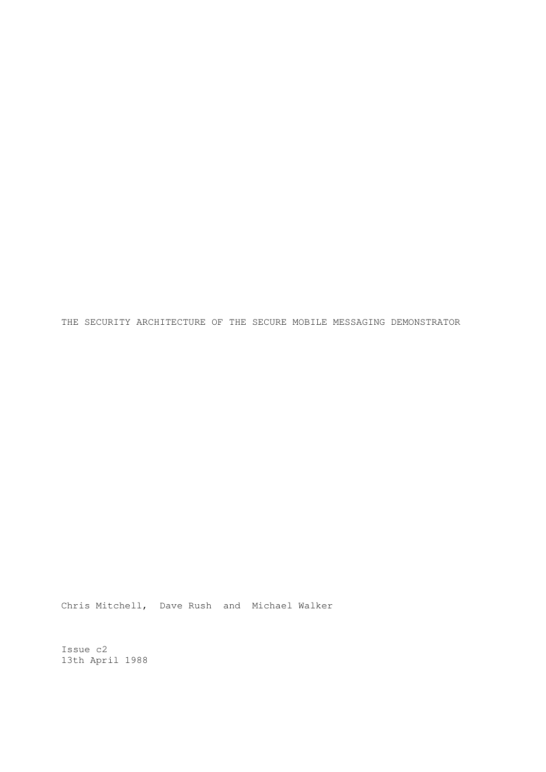THE SECURITY ARCHITECTURE OF THE SECURE MOBILE MESSAGING DEMONSTRATOR

Chris Mitchell, Dave Rush and Michael Walker

Issue c2 13th April 1988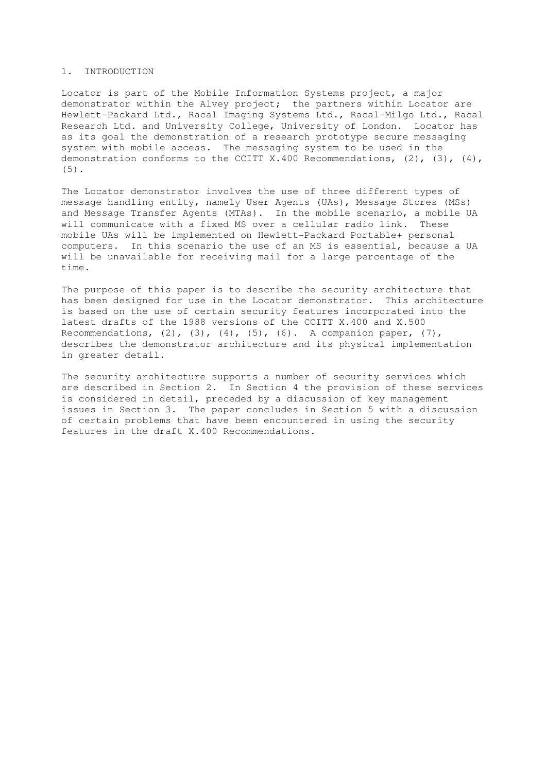### 1. INTRODUCTION

Locator is part of the Mobile Information Systems project, a major demonstrator within the Alvey project; the partners within Locator are Hewlett-Packard Ltd., Racal Imaging Systems Ltd., Racal-Milgo Ltd., Racal Research Ltd. and University College, University of London. Locator has as its goal the demonstration of a research prototype secure messaging system with mobile access. The messaging system to be used in the demonstration conforms to the CCITT X.400 Recommendations, (2), (3), (4), (5).

The Locator demonstrator involves the use of three different types of message handling entity, namely User Agents (UAs), Message Stores (MSs) and Message Transfer Agents (MTAs). In the mobile scenario, a mobile UA will communicate with a fixed MS over a cellular radio link. These mobile UAs will be implemented on Hewlett-Packard Portable+ personal computers. In this scenario the use of an MS is essential, because a UA will be unavailable for receiving mail for a large percentage of the time.

The purpose of this paper is to describe the security architecture that has been designed for use in the Locator demonstrator. This architecture is based on the use of certain security features incorporated into the latest drafts of the 1988 versions of the CCITT X.400 and X.500 Recommendations,  $(2)$ ,  $(3)$ ,  $(4)$ ,  $(5)$ ,  $(6)$ . A companion paper,  $(7)$ , describes the demonstrator architecture and its physical implementation in greater detail.

The security architecture supports a number of security services which are described in Section 2. In Section 4 the provision of these services is considered in detail, preceded by a discussion of key management issues in Section 3. The paper concludes in Section 5 with a discussion of certain problems that have been encountered in using the security features in the draft X.400 Recommendations.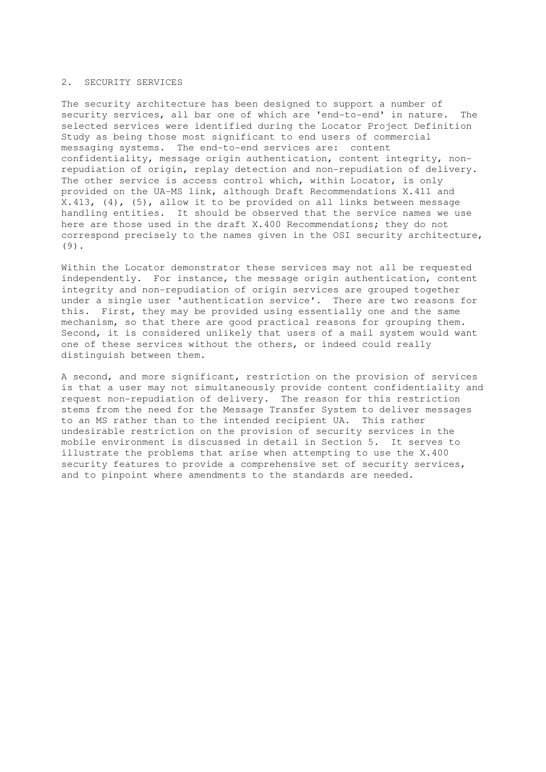#### 2. SECURITY SERVICES

The security architecture has been designed to support a number of security services, all bar one of which are 'end-to-end' in nature. The selected services were identified during the Locator Project Definition Study as being those most significant to end users of commercial messaging systems. The end-to-end services are: content confidentiality, message origin authentication, content integrity, nonrepudiation of origin, replay detection and non-repudiation of delivery. The other service is access control which, within Locator, is only provided on the UA-MS link, although Draft Recommendations X.411 and X.413, (4), (5), allow it to be provided on all links between message handling entities. It should be observed that the service names we use here are those used in the draft X.400 Recommendations; they do not correspond precisely to the names given in the OSI security architecture, (9).

Within the Locator demonstrator these services may not all be requested independently. For instance, the message origin authentication, content integrity and non-repudiation of origin services are grouped together under a single user 'authentication service'. There are two reasons for this. First, they may be provided using essentially one and the same mechanism, so that there are good practical reasons for grouping them. Second, it is considered unlikely that users of a mail system would want one of these services without the others, or indeed could really distinguish between them.

A second, and more significant, restriction on the provision of services is that a user may not simultaneously provide content confidentiality and request non-repudiation of delivery. The reason for this restriction stems from the need for the Message Transfer System to deliver messages to an MS rather than to the intended recipient UA. This rather undesirable restriction on the provision of security services in the mobile environment is discussed in detail in Section 5. It serves to illustrate the problems that arise when attempting to use the X.400 security features to provide a comprehensive set of security services, and to pinpoint where amendments to the standards are needed.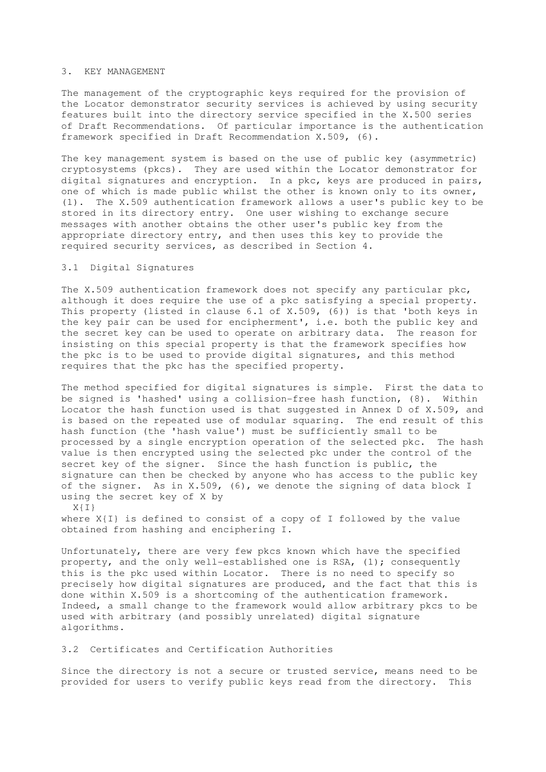### 3. KEY MANAGEMENT

The management of the cryptographic keys required for the provision of the Locator demonstrator security services is achieved by using security features built into the directory service specified in the X.500 series of Draft Recommendations. Of particular importance is the authentication framework specified in Draft Recommendation X.509, (6).

The key management system is based on the use of public key (asymmetric) cryptosystems (pkcs). They are used within the Locator demonstrator for digital signatures and encryption. In a pkc, keys are produced in pairs, one of which is made public whilst the other is known only to its owner, (1). The X.509 authentication framework allows a user's public key to be stored in its directory entry. One user wishing to exchange secure messages with another obtains the other user's public key from the appropriate directory entry, and then uses this key to provide the required security services, as described in Section 4.

# 3.1 Digital Signatures

The X.509 authentication framework does not specify any particular pkc, although it does require the use of a pkc satisfying a special property. This property (listed in clause 6.1 of X.509, (6)) is that 'both keys in the key pair can be used for encipherment', i.e. both the public key and the secret key can be used to operate on arbitrary data. The reason for insisting on this special property is that the framework specifies how the pkc is to be used to provide digital signatures, and this method requires that the pkc has the specified property.

The method specified for digital signatures is simple. First the data to be signed is 'hashed' using a collision-free hash function, (8). Within Locator the hash function used is that suggested in Annex D of  $X.509$ , and is based on the repeated use of modular squaring. The end result of this hash function (the 'hash value') must be sufficiently small to be processed by a single encryption operation of the selected pkc. The hash value is then encrypted using the selected pkc under the control of the secret key of the signer. Since the hash function is public, the signature can then be checked by anyone who has access to the public key of the signer. As in X.509, (6), we denote the signing of data block I using the secret key of X by

X{I}

where X{I} is defined to consist of a copy of I followed by the value obtained from hashing and enciphering I.

Unfortunately, there are very few pkcs known which have the specified property, and the only well-established one is RSA, (1); consequently this is the pkc used within Locator. There is no need to specify so precisely how digital signatures are produced, and the fact that this is done within X.509 is a shortcoming of the authentication framework. Indeed, a small change to the framework would allow arbitrary pkcs to be used with arbitrary (and possibly unrelated) digital signature algorithms.

### 3.2 Certificates and Certification Authorities

Since the directory is not a secure or trusted service, means need to be provided for users to verify public keys read from the directory. This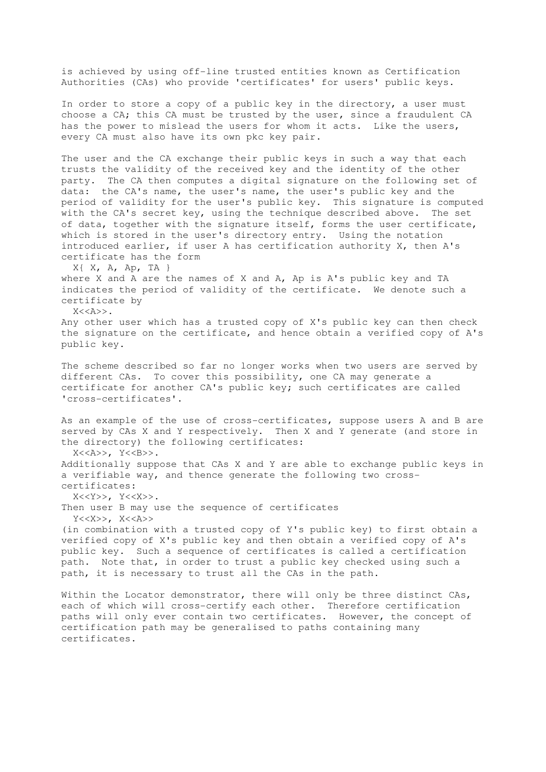is achieved by using off-line trusted entities known as Certification Authorities (CAs) who provide 'certificates' for users' public keys.

In order to store a copy of a public key in the directory, a user must choose a CA; this CA must be trusted by the user, since a fraudulent CA has the power to mislead the users for whom it acts. Like the users, every CA must also have its own pkc key pair.

The user and the CA exchange their public keys in such a way that each trusts the validity of the received key and the identity of the other party. The CA then computes a digital signature on the following set of data: the CA's name, the user's name, the user's public key and the period of validity for the user's public key. This signature is computed with the CA's secret key, using the technique described above. The set of data, together with the signature itself, forms the user certificate, which is stored in the user's directory entry. Using the notation introduced earlier, if user A has certification authority X, then A's certificate has the form

 $X{ X, A, Ap, TA }$ where X and A are the names of X and A, Ap is A's public key and TA indicates the period of validity of the certificate. We denote such a certificate by  $X<>$ .

Any other user which has a trusted copy of X's public key can then check the signature on the certificate, and hence obtain a verified copy of A's public key.

The scheme described so far no longer works when two users are served by different CAs. To cover this possibility, one CA may generate a certificate for another CA's public key; such certificates are called 'cross-certificates'.

As an example of the use of cross-certificates, suppose users A and B are served by CAs X and Y respectively. Then X and Y generate (and store in the directory) the following certificates:

X<<A>>, Y<<B>>.

Additionally suppose that CAs X and Y are able to exchange public keys in a verifiable way, and thence generate the following two crosscertificates:

X<<Y>>, Y<<X>>.

Then user B may use the sequence of certificates Y<<X>>, X<<A>>

(in combination with a trusted copy of Y's public key) to first obtain a verified copy of X's public key and then obtain a verified copy of A's public key. Such a sequence of certificates is called a certification path. Note that, in order to trust a public key checked using such a path, it is necessary to trust all the CAs in the path.

Within the Locator demonstrator, there will only be three distinct CAs, each of which will cross-certify each other. Therefore certification paths will only ever contain two certificates. However, the concept of certification path may be generalised to paths containing many certificates.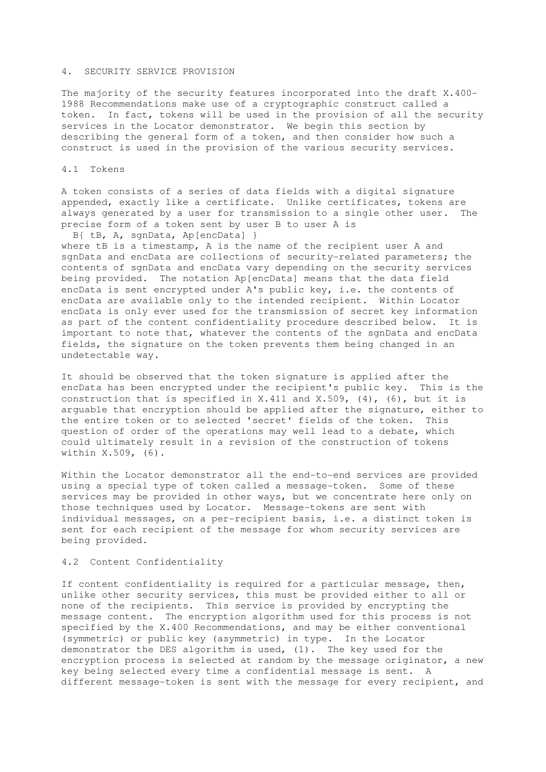### 4. SECURITY SERVICE PROVISION

The majority of the security features incorporated into the draft X.400- 1988 Recommendations make use of a cryptographic construct called a token. In fact, tokens will be used in the provision of all the security services in the Locator demonstrator. We begin this section by describing the general form of a token, and then consider how such a construct is used in the provision of the various security services.

#### 4.1 Tokens

A token consists of a series of data fields with a digital signature appended, exactly like a certificate. Unlike certificates, tokens are always generated by a user for transmission to a single other user. The precise form of a token sent by user B to user A is

 B{ tB, A, sgnData, Ap[encData] } where tB is a timestamp, A is the name of the recipient user A and sgnData and encData are collections of security-related parameters; the contents of sgnData and encData vary depending on the security services being provided. The notation Ap[encData] means that the data field encData is sent encrypted under A's public key, i.e. the contents of encData are available only to the intended recipient. Within Locator encData is only ever used for the transmission of secret key information as part of the content confidentiality procedure described below. It is important to note that, whatever the contents of the sgnData and encData fields, the signature on the token prevents them being changed in an undetectable way.

It should be observed that the token signature is applied after the encData has been encrypted under the recipient's public key. This is the construction that is specified in X.411 and X.509, (4), (6), but it is arguable that encryption should be applied after the signature, either to the entire token or to selected 'secret' fields of the token. This question of order of the operations may well lead to a debate, which could ultimately result in a revision of the construction of tokens within X.509, (6).

Within the Locator demonstrator all the end-to-end services are provided using a special type of token called a message-token. Some of these services may be provided in other ways, but we concentrate here only on those techniques used by Locator. Message-tokens are sent with individual messages, on a per-recipient basis, i.e. a distinct token is sent for each recipient of the message for whom security services are being provided.

### 4.2 Content Confidentiality

If content confidentiality is required for a particular message, then, unlike other security services, this must be provided either to all or none of the recipients. This service is provided by encrypting the message content. The encryption algorithm used for this process is not specified by the X.400 Recommendations, and may be either conventional (symmetric) or public key (asymmetric) in type. In the Locator demonstrator the DES algorithm is used, (1). The key used for the encryption process is selected at random by the message originator, a new key being selected every time a confidential message is sent. A different message-token is sent with the message for every recipient, and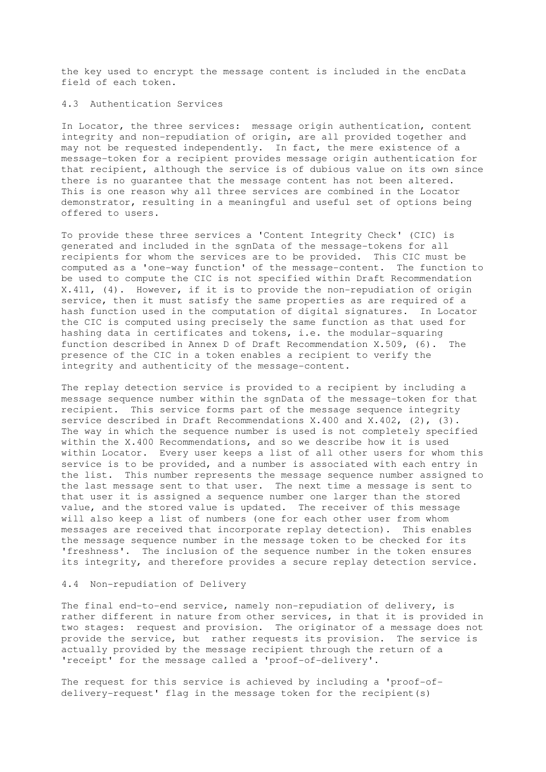the key used to encrypt the message content is included in the encData field of each token.

## 4.3 Authentication Services

In Locator, the three services: message origin authentication, content integrity and non-repudiation of origin, are all provided together and may not be requested independently. In fact, the mere existence of a message-token for a recipient provides message origin authentication for that recipient, although the service is of dubious value on its own since there is no guarantee that the message content has not been altered. This is one reason why all three services are combined in the Locator demonstrator, resulting in a meaningful and useful set of options being offered to users.

To provide these three services a 'Content Integrity Check' (CIC) is generated and included in the sgnData of the message-tokens for all recipients for whom the services are to be provided. This CIC must be computed as a 'one-way function' of the message-content. The function to be used to compute the CIC is not specified within Draft Recommendation X.411, (4). However, if it is to provide the non-repudiation of origin service, then it must satisfy the same properties as are required of a hash function used in the computation of digital signatures. In Locator the CIC is computed using precisely the same function as that used for hashing data in certificates and tokens, i.e. the modular-squaring function described in Annex D of Draft Recommendation X.509, (6). The presence of the CIC in a token enables a recipient to verify the integrity and authenticity of the message-content.

The replay detection service is provided to a recipient by including a message sequence number within the sgnData of the message-token for that recipient. This service forms part of the message sequence integrity service described in Draft Recommendations X.400 and X.402, (2), (3). The way in which the sequence number is used is not completely specified within the X.400 Recommendations, and so we describe how it is used within Locator. Every user keeps a list of all other users for whom this service is to be provided, and a number is associated with each entry in the list. This number represents the message sequence number assigned to the last message sent to that user. The next time a message is sent to that user it is assigned a sequence number one larger than the stored value, and the stored value is updated. The receiver of this message will also keep a list of numbers (one for each other user from whom messages are received that incorporate replay detection). This enables the message sequence number in the message token to be checked for its 'freshness'. The inclusion of the sequence number in the token ensures its integrity, and therefore provides a secure replay detection service.

#### 4.4 Non-repudiation of Delivery

The final end-to-end service, namely non-repudiation of delivery, is rather different in nature from other services, in that it is provided in two stages: request and provision. The originator of a message does not provide the service, but rather requests its provision. The service is actually provided by the message recipient through the return of a 'receipt' for the message called a 'proof-of-delivery'.

The request for this service is achieved by including a 'proof-ofdelivery-request' flag in the message token for the recipient(s)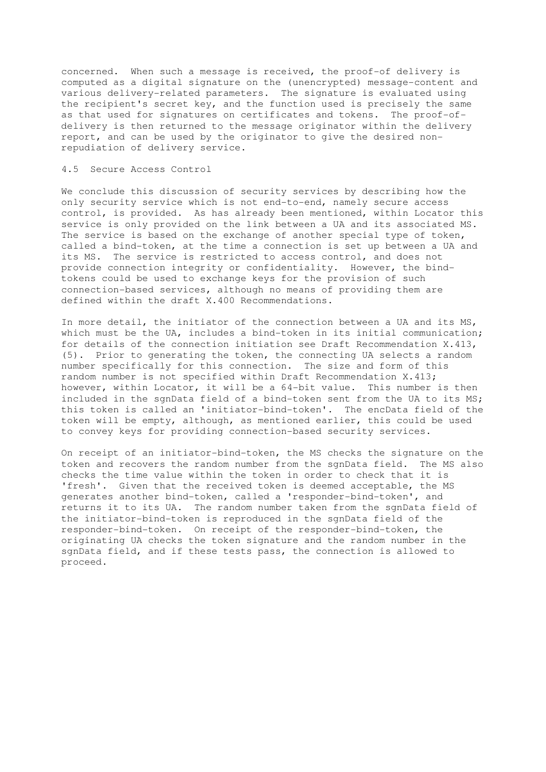concerned. When such a message is received, the proof-of delivery is computed as a digital signature on the (unencrypted) message-content and various delivery-related parameters. The signature is evaluated using the recipient's secret key, and the function used is precisely the same as that used for signatures on certificates and tokens. The proof-ofdelivery is then returned to the message originator within the delivery report, and can be used by the originator to give the desired nonrepudiation of delivery service.

### 4.5 Secure Access Control

We conclude this discussion of security services by describing how the only security service which is not end-to-end, namely secure access control, is provided. As has already been mentioned, within Locator this service is only provided on the link between a UA and its associated MS. The service is based on the exchange of another special type of token, called a bind-token, at the time a connection is set up between a UA and its MS. The service is restricted to access control, and does not provide connection integrity or confidentiality. However, the bindtokens could be used to exchange keys for the provision of such connection-based services, although no means of providing them are defined within the draft X.400 Recommendations.

In more detail, the initiator of the connection between a UA and its MS, which must be the UA, includes a bind-token in its initial communication; for details of the connection initiation see Draft Recommendation X.413, (5). Prior to generating the token, the connecting UA selects a random number specifically for this connection. The size and form of this random number is not specified within Draft Recommendation X.413; however, within Locator, it will be a 64-bit value. This number is then included in the sgnData field of a bind-token sent from the UA to its MS; this token is called an 'initiator-bind-token'. The encData field of the token will be empty, although, as mentioned earlier, this could be used to convey keys for providing connection-based security services.

On receipt of an initiator-bind-token, the MS checks the signature on the token and recovers the random number from the sgnData field. The MS also checks the time value within the token in order to check that it is 'fresh'. Given that the received token is deemed acceptable, the MS generates another bind-token, called a 'responder-bind-token', and returns it to its UA. The random number taken from the sgnData field of the initiator-bind-token is reproduced in the sgnData field of the responder-bind-token. On receipt of the responder-bind-token, the originating UA checks the token signature and the random number in the sgnData field, and if these tests pass, the connection is allowed to proceed.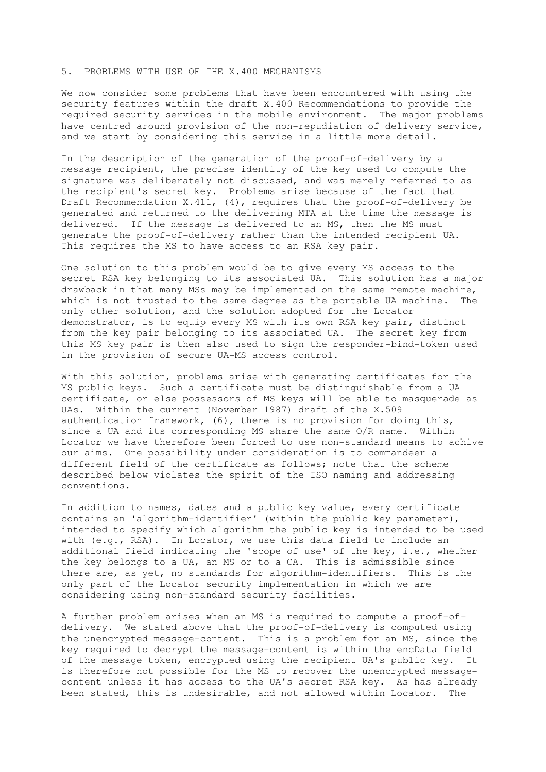#### 5. PROBLEMS WITH USE OF THE X.400 MECHANISMS

We now consider some problems that have been encountered with using the security features within the draft X.400 Recommendations to provide the required security services in the mobile environment. The major problems have centred around provision of the non-repudiation of delivery service, and we start by considering this service in a little more detail.

In the description of the generation of the proof-of-delivery by a message recipient, the precise identity of the key used to compute the signature was deliberately not discussed, and was merely referred to as the recipient's secret key. Problems arise because of the fact that Draft Recommendation X.411, (4), requires that the proof-of-delivery be generated and returned to the delivering MTA at the time the message is delivered. If the message is delivered to an MS, then the MS must generate the proof-of-delivery rather than the intended recipient UA. This requires the MS to have access to an RSA key pair.

One solution to this problem would be to give every MS access to the secret RSA key belonging to its associated UA. This solution has a major drawback in that many MSs may be implemented on the same remote machine, which is not trusted to the same degree as the portable UA machine. The only other solution, and the solution adopted for the Locator demonstrator, is to equip every MS with its own RSA key pair, distinct from the key pair belonging to its associated UA. The secret key from this MS key pair is then also used to sign the responder-bind-token used in the provision of secure UA-MS access control.

With this solution, problems arise with generating certificates for the MS public keys. Such a certificate must be distinguishable from a UA certificate, or else possessors of MS keys will be able to masquerade as UAs. Within the current (November 1987) draft of the X.509 authentication framework, (6), there is no provision for doing this, since a UA and its corresponding MS share the same O/R name. Within Locator we have therefore been forced to use non-standard means to achive our aims. One possibility under consideration is to commandeer a different field of the certificate as follows; note that the scheme described below violates the spirit of the ISO naming and addressing conventions.

In addition to names, dates and a public key value, every certificate contains an 'algorithm-identifier' (within the public key parameter), intended to specify which algorithm the public key is intended to be used with (e.g., RSA). In Locator, we use this data field to include an additional field indicating the 'scope of use' of the key, i.e., whether the key belongs to a UA, an MS or to a CA. This is admissible since there are, as yet, no standards for algorithm-identifiers. This is the only part of the Locator security implementation in which we are considering using non-standard security facilities.

A further problem arises when an MS is required to compute a proof-ofdelivery. We stated above that the proof-of-delivery is computed using the unencrypted message-content. This is a problem for an MS, since the key required to decrypt the message-content is within the encData field of the message token, encrypted using the recipient UA's public key. It is therefore not possible for the MS to recover the unencrypted messagecontent unless it has access to the UA's secret RSA key. As has already been stated, this is undesirable, and not allowed within Locator. The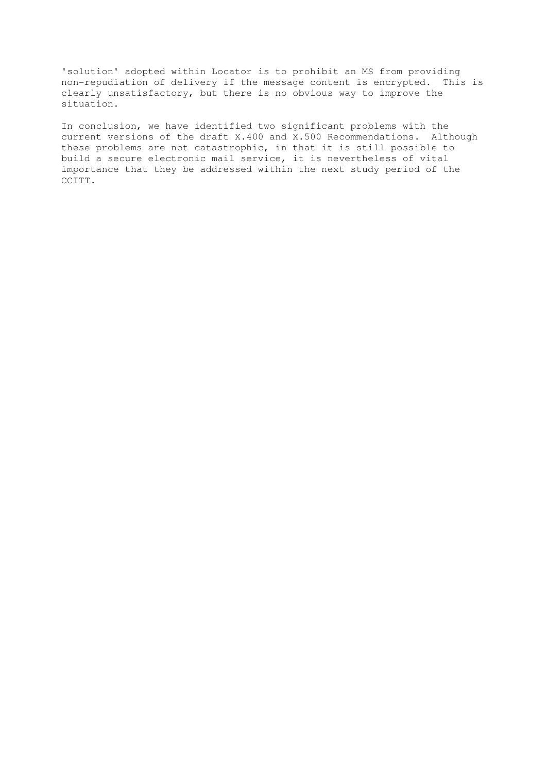'solution' adopted within Locator is to prohibit an MS from providing non-repudiation of delivery if the message content is encrypted. This is clearly unsatisfactory, but there is no obvious way to improve the situation.

In conclusion, we have identified two significant problems with the current versions of the draft X.400 and X.500 Recommendations. Although these problems are not catastrophic, in that it is still possible to build a secure electronic mail service, it is nevertheless of vital importance that they be addressed within the next study period of the CCITT.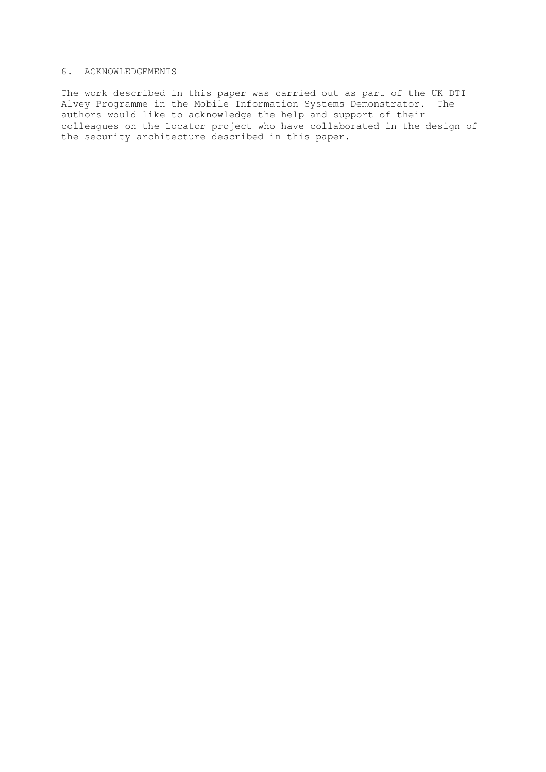# 6. ACKNOWLEDGEMENTS

The work described in this paper was carried out as part of the UK DTI Alvey Programme in the Mobile Information Systems Demonstrator. The authors would like to acknowledge the help and support of their colleagues on the Locator project who have collaborated in the design of the security architecture described in this paper.